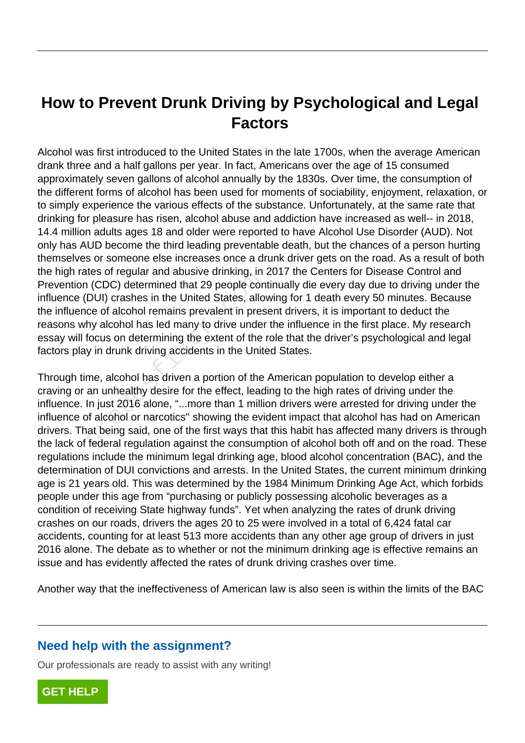# **How to Prevent Drunk Driving by Psychological and Legal Factors**

Alcohol was first introduced to the United States in the late 1700s, when the average American drank three and a half gallons per year. In fact, Americans over the age of 15 consumed approximately seven gallons of alcohol annually by the 1830s. Over time, the consumption of the different forms of alcohol has been used for moments of sociability, enjoyment, relaxation, or to simply experience the various effects of the substance. Unfortunately, at the same rate that drinking for pleasure has risen, alcohol abuse and addiction have increased as well-- in 2018, 14.4 million adults ages 18 and older were reported to have Alcohol Use Disorder (AUD). Not only has AUD become the third leading preventable death, but the chances of a person hurting themselves or someone else increases once a drunk driver gets on the road. As a result of both the high rates of regular and abusive drinking, in 2017 the Centers for Disease Control and Prevention (CDC) determined that 29 people continually die every day due to driving under the influence (DUI) crashes in the United States, allowing for 1 death every 50 minutes. Because the influence of alcohol remains prevalent in present drivers, it is important to deduct the reasons why alcohol has led many to drive under the influence in the first place. My research essay will focus on determining the extent of the role that the driver's psychological and legal factors play in drunk driving accidents in the United States. n (CDC) determined that 29 people con<br>DUI) crashes in the United States, allo<br>ce of alcohol remains prevalent in pres<br>hy alcohol has led many to drive under<br>focus on determining the extent of the<br>y in drunk driving acciden

Through time, alcohol has driven a portion of the American population to develop either a craving or an unhealthy desire for the effect, leading to the high rates of driving under the influence. In just 2016 alone, "...more than 1 million drivers were arrested for driving under the influence of alcohol or narcotics'' showing the evident impact that alcohol has had on American drivers. That being said, one of the first ways that this habit has affected many drivers is through the lack of federal regulation against the consumption of alcohol both off and on the road. These regulations include the minimum legal drinking age, blood alcohol concentration (BAC), and the determination of DUI convictions and arrests. In the United States, the current minimum drinking age is 21 years old. This was determined by the 1984 Minimum Drinking Age Act, which forbids people under this age from "purchasing or publicly possessing alcoholic beverages as a condition of receiving State highway funds". Yet when analyzing the rates of drunk driving crashes on our roads, drivers the ages 20 to 25 were involved in a total of 6,424 fatal car accidents, counting for at least 513 more accidents than any other age group of drivers in just 2016 alone. The debate as to whether or not the minimum drinking age is effective remains an issue and has evidently affected the rates of drunk driving crashes over time.

Another way that the ineffectiveness of American law is also seen is within the limits of the BAC

# **Need help with the assignment?**

Our professionals are ready to assist with any writing!

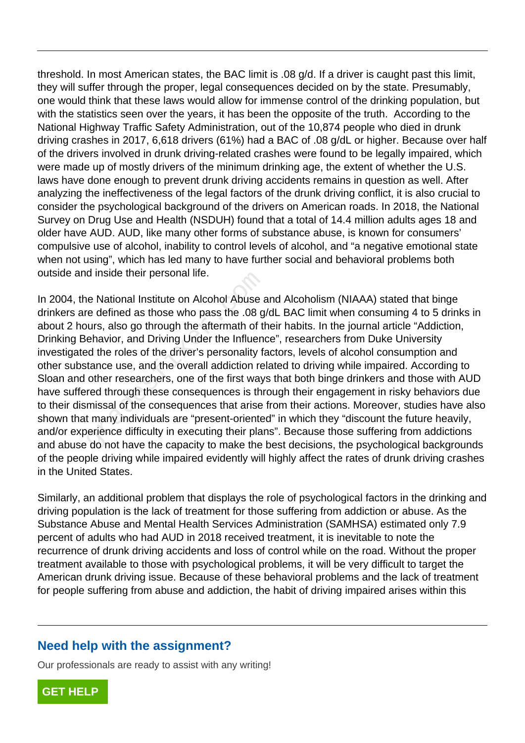threshold. In most American states, the BAC limit is .08 g/d. If a driver is caught past this limit, they will suffer through the proper, legal consequences decided on by the state. Presumably, one would think that these laws would allow for immense control of the drinking population, but with the statistics seen over the years, it has been the opposite of the truth. According to the National Highway Traffic Safety Administration, out of the 10,874 people who died in drunk driving crashes in 2017, 6,618 drivers (61%) had a BAC of .08 g/dL or higher. Because over half of the drivers involved in drunk driving-related crashes were found to be legally impaired, which were made up of mostly drivers of the minimum drinking age, the extent of whether the U.S. laws have done enough to prevent drunk driving accidents remains in question as well. After analyzing the ineffectiveness of the legal factors of the drunk driving conflict, it is also crucial to consider the psychological background of the drivers on American roads. In 2018, the National Survey on Drug Use and Health (NSDUH) found that a total of 14.4 million adults ages 18 and older have AUD. AUD, like many other forms of substance abuse, is known for consumers' compulsive use of alcohol, inability to control levels of alcohol, and "a negative emotional state when not using", which has led many to have further social and behavioral problems both outside and inside their personal life.

In 2004, the National Institute on Alcohol Abuse and Alcoholism (NIAAA) stated that binge drinkers are defined as those who pass the .08 g/dL BAC limit when consuming 4 to 5 drinks in about 2 hours, also go through the aftermath of their habits. In the journal article "Addiction, Drinking Behavior, and Driving Under the Influence", researchers from Duke University investigated the roles of the driver's personality factors, levels of alcohol consumption and other substance use, and the overall addiction related to driving while impaired. According to Sloan and other researchers, one of the first ways that both binge drinkers and those with AUD have suffered through these consequences is through their engagement in risky behaviors due to their dismissal of the consequences that arise from their actions. Moreover, studies have also shown that many individuals are "present-oriented" in which they "discount the future heavily, and/or experience difficulty in executing their plans". Because those suffering from addictions and abuse do not have the capacity to make the best decisions, the psychological backgrounds of the people driving while impaired evidently will highly affect the rates of drunk driving crashes in the United States. d inside their personal life.<br>The National Institute on Alcohol Abuse and<br>Ference defined as those who pass the .08 g<br>ours, also go through the aftermath of the<br>enavior, and Driving Under the Influentied<br>the roles of the d

Similarly, an additional problem that displays the role of psychological factors in the drinking and driving population is the lack of treatment for those suffering from addiction or abuse. As the Substance Abuse and Mental Health Services Administration (SAMHSA) estimated only 7.9 percent of adults who had AUD in 2018 received treatment, it is inevitable to note the recurrence of drunk driving accidents and loss of control while on the road. Without the proper treatment available to those with psychological problems, it will be very difficult to target the American drunk driving issue. Because of these behavioral problems and the lack of treatment for people suffering from abuse and addiction, the habit of driving impaired arises within this

# **Need help with the assignment?**

Our professionals are ready to assist with any writing!

**[GET HELP](https://my.gradesfixer.com/order?utm_campaign=pdf_sample)**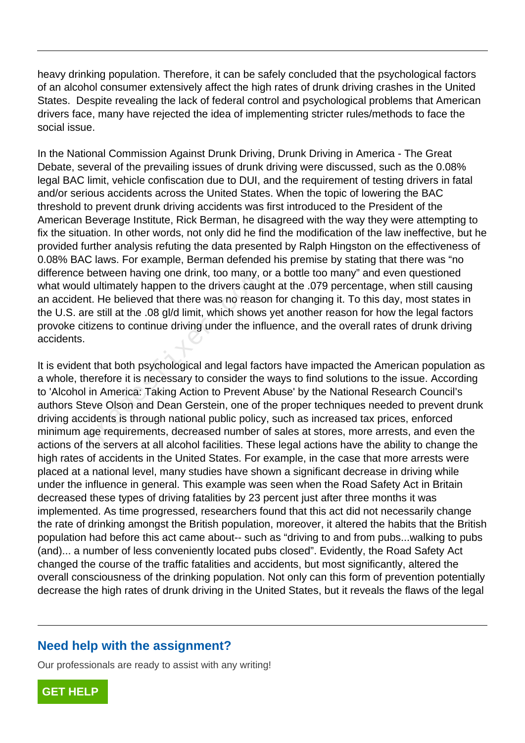heavy drinking population. Therefore, it can be safely concluded that the psychological factors of an alcohol consumer extensively affect the high rates of drunk driving crashes in the United States. Despite revealing the lack of federal control and psychological problems that American drivers face, many have rejected the idea of implementing stricter rules/methods to face the social issue.

In the National Commission Against Drunk Driving, Drunk Driving in America - The Great Debate, several of the prevailing issues of drunk driving were discussed, such as the 0.08% legal BAC limit, vehicle confiscation due to DUI, and the requirement of testing drivers in fatal and/or serious accidents across the United States. When the topic of lowering the BAC threshold to prevent drunk driving accidents was first introduced to the President of the American Beverage Institute, Rick Berman, he disagreed with the way they were attempting to fix the situation. In other words, not only did he find the modification of the law ineffective, but he provided further analysis refuting the data presented by Ralph Hingston on the effectiveness of 0.08% BAC laws. For example, Berman defended his premise by stating that there was "no difference between having one drink, too many, or a bottle too many" and even questioned what would ultimately happen to the drivers caught at the .079 percentage, when still causing an accident. He believed that there was no reason for changing it. To this day, most states in the U.S. are still at the .08 gl/d limit, which shows yet another reason for how the legal factors provoke citizens to continue driving under the influence, and the overall rates of drunk driving accidents.

It is evident that both psychological and legal factors have impacted the American population as a whole, therefore it is necessary to consider the ways to find solutions to the issue. According to 'Alcohol in America: Taking Action to Prevent Abuse' by the National Research Council's authors Steve Olson and Dean Gerstein, one of the proper techniques needed to prevent drunk driving accidents is through national public policy, such as increased tax prices, enforced minimum age requirements, decreased number of sales at stores, more arrests, and even the actions of the servers at all alcohol facilities. These legal actions have the ability to change the high rates of accidents in the United States. For example, in the case that more arrests were placed at a national level, many studies have shown a significant decrease in driving while under the influence in general. This example was seen when the Road Safety Act in Britain decreased these types of driving fatalities by 23 percent just after three months it was implemented. As time progressed, researchers found that this act did not necessarily change the rate of drinking amongst the British population, moreover, it altered the habits that the British population had before this act came about-- such as "driving to and from pubs...walking to pubs (and)... a number of less conveniently located pubs closed". Evidently, the Road Safety Act changed the course of the traffic fatalities and accidents, but most significantly, altered the overall consciousness of the drinking population. Not only can this form of prevention potentially decrease the high rates of drunk driving in the United States, but it reveals the flaws of the legal between naving one drink, too many, to<br>d ultimately happen to the drivers caught.<br>He believed that there was no reaso<br>re still at the .08 gl/d limit, which shows<br>tizens to continue driving under the infl<br>at that both psych

### **Need help with the assignment?**

Our professionals are ready to assist with any writing!

**[GET HELP](https://my.gradesfixer.com/order?utm_campaign=pdf_sample)**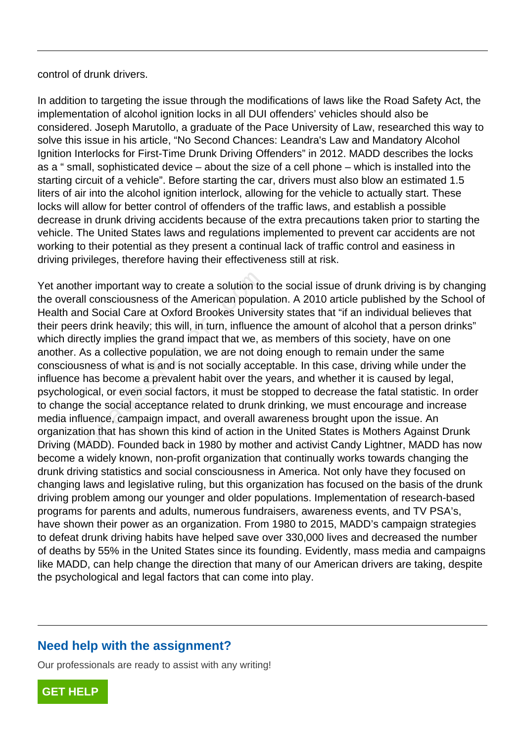control of drunk drivers.

In addition to targeting the issue through the modifications of laws like the Road Safety Act, the implementation of alcohol ignition locks in all DUI offenders' vehicles should also be considered. Joseph Marutollo, a graduate of the Pace University of Law, researched this way to solve this issue in his article, "No Second Chances: Leandra's Law and Mandatory Alcohol Ignition Interlocks for First-Time Drunk Driving Offenders" in 2012. MADD describes the locks as a " small, sophisticated device – about the size of a cell phone – which is installed into the starting circuit of a vehicle". Before starting the car, drivers must also blow an estimated 1.5 liters of air into the alcohol ignition interlock, allowing for the vehicle to actually start. These locks will allow for better control of offenders of the traffic laws, and establish a possible decrease in drunk driving accidents because of the extra precautions taken prior to starting the vehicle. The United States laws and regulations implemented to prevent car accidents are not working to their potential as they present a continual lack of traffic control and easiness in driving privileges, therefore having their effectiveness still at risk.

Yet another important way to create a solution to the social issue of drunk driving is by changing the overall consciousness of the American population. A 2010 article published by the School of Health and Social Care at Oxford Brookes University states that "if an individual believes that their peers drink heavily; this will, in turn, influence the amount of alcohol that a person drinks" which directly implies the grand impact that we, as members of this society, have on one another. As a collective population, we are not doing enough to remain under the same consciousness of what is and is not socially acceptable. In this case, driving while under the influence has become a prevalent habit over the years, and whether it is caused by legal, psychological, or even social factors, it must be stopped to decrease the fatal statistic. In order to change the social acceptance related to drunk drinking, we must encourage and increase media influence, campaign impact, and overall awareness brought upon the issue. An organization that has shown this kind of action in the United States is Mothers Against Drunk Driving (MADD). Founded back in 1980 by mother and activist Candy Lightner, MADD has now become a widely known, non-profit organization that continually works towards changing the drunk driving statistics and social consciousness in America. Not only have they focused on changing laws and legislative ruling, but this organization has focused on the basis of the drunk driving problem among our younger and older populations. Implementation of research-based programs for parents and adults, numerous fundraisers, awareness events, and TV PSA's, have shown their power as an organization. From 1980 to 2015, MADD's campaign strategies to defeat drunk driving habits have helped save over 330,000 lives and decreased the number of deaths by 55% in the United States since its founding. Evidently, mass media and campaigns like MADD, can help change the direction that many of our American drivers are taking, despite the psychological and legal factors that can come into play. er important way to create a solution to<br>consciousness of the American popula<br>i Social Care at Oxford Brookes Univer<br>i drink heavily; this will, in turn, influenc<br>ctly implies the grand impact that we, a<br>s a collective pop

# **Need help with the assignment?**

Our professionals are ready to assist with any writing!

**[GET HELP](https://my.gradesfixer.com/order?utm_campaign=pdf_sample)**